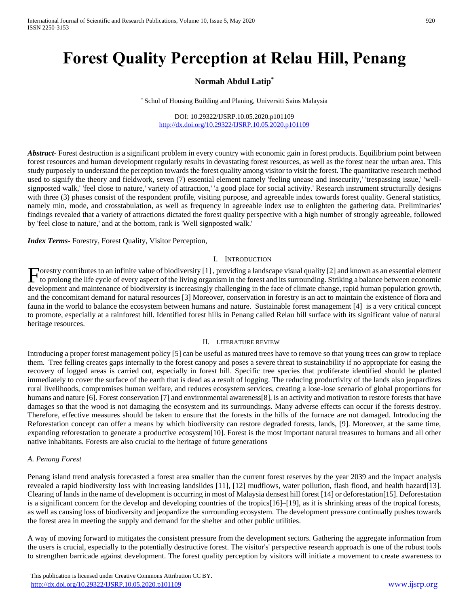# **Forest Quality Perception at Relau Hill, Penang**

## **Normah Abdul Latip\***

\* Schol of Housing Building and Planing, Universiti Sains Malaysia

#### DOI: 10.29322/IJSRP.10.05.2020.p101109 <http://dx.doi.org/10.29322/IJSRP.10.05.2020.p101109>

*Abstract***-** Forest destruction is a significant problem in every country with economic gain in forest products. Equilibrium point between forest resources and human development regularly results in devastating forest resources, as well as the forest near the urban area. This study purposely to understand the perception towards the forest quality among visitor to visit the forest. The quantitative research method used to signify the theory and fieldwork, seven (7) essential element namely 'feeling unease and insecurity,' 'trespassing issue,' 'wellsignposted walk,' 'feel close to nature,' variety of attraction,' 'a good place for social activity.' Research instrument structurally designs with three (3) phases consist of the respondent profile, visiting purpose, and agreeable index towards forest quality. General statistics, namely min, mode, and crosstabulation, as well as frequency in agreeable index use to enlighten the gathering data. Preliminaries' findings revealed that a variety of attractions dictated the forest quality perspective with a high number of strongly agreeable, followed by 'feel close to nature,' and at the bottom, rank is 'Well signposted walk.'

*Index Terms*- Forestry, Forest Quality, Visitor Perception,

## I. INTRODUCTION

Forestry contributes to an infinite value of biodiversity [1], providing a landscape visual quality [2] and known as an essential element to prolong the life cycle of every aspect of the living organism in the forest and i to prolong the life cycle of every aspect of the living organism in the forest and its surrounding. Striking a balance between economic development and maintenance of biodiversity is increasingly challenging in the face of climate change, rapid human population growth, and the concomitant demand for natural resources [3] Moreover, conservation in forestry is an act to maintain the existence of flora and fauna in the world to balance the ecosystem between humans and nature. Sustainable forest management [4] is a very critical concept to promote, especially at a rainforest hill. Identified forest hills in Penang called Relau hill surface with its significant value of natural heritage resources.

#### II. LITERATURE REVIEW

Introducing a proper forest management policy [5] can be useful as matured trees have to remove so that young trees can grow to replace them. Tree felling creates gaps internally to the forest canopy and poses a severe threat to sustainability if no appropriate for easing the recovery of logged areas is carried out, especially in forest hill. Specific tree species that proliferate identified should be planted immediately to cover the surface of the earth that is dead as a result of logging. The reducing productivity of the lands also jeopardizes rural livelihoods, compromises human welfare, and reduces ecosystem services, creating a lose-lose scenario of global proportions for humans and nature [6]. Forest conservation [7] and environmental awareness [8], is an activity and motivation to restore forests that have damages so that the wood is not damaging the ecosystem and its surroundings. Many adverse effects can occur if the forests destroy. Therefore, effective measures should be taken to ensure that the forests in the hills of the furnace are not damaged. Introducing the Reforestation concept can offer a means by which biodiversity can restore degraded forests, lands, [9]. Moreover, at the same time, expanding reforestation to generate a productive ecosystem[10]. Forest is the most important natural treasures to humans and all other native inhabitants. Forests are also crucial to the heritage of future generations

#### *A. Penang Forest*

Penang island trend analysis forecasted a forest area smaller than the current forest reserves by the year 2039 and the impact analysis revealed a rapid biodiversity loss with increasing landslides [11], [12] mudflows, water pollution, flash flood, and health hazard[13]. Clearing of lands in the name of development is occurring in most of Malaysia densest hill forest [14] or deforestation[15]. Deforestation is a significant concern for the develop and developing countries of the tropics[16]–[19], as it is shrinking areas of the tropical forests, as well as causing loss of biodiversity and jeopardize the surrounding ecosystem. The development pressure continually pushes towards the forest area in meeting the supply and demand for the shelter and other public utilities.

A way of moving forward to mitigates the consistent pressure from the development sectors. Gathering the aggregate information from the users is crucial, especially to the potentially destructive forest. The visitor's' perspective research approach is one of the robust tools to strengthen barricade against development. The forest quality perception by visitors will initiate a movement to create awareness to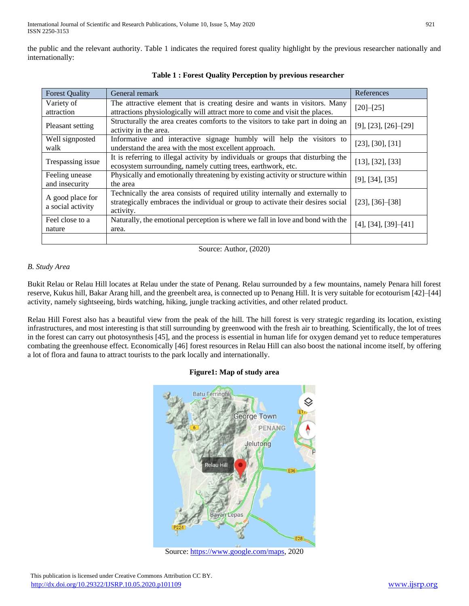the public and the relevant authority. Table 1 indicates the required forest quality highlight by the previous researcher nationally and internationally:

| <b>Forest Quality</b>                 | General remark                                                                                                                                                                 | References               |
|---------------------------------------|--------------------------------------------------------------------------------------------------------------------------------------------------------------------------------|--------------------------|
| Variety of<br>attraction              | The attractive element that is creating desire and wants in visitors. Many<br>attractions physiologically will attract more to come and visit the places.                      | $[20] - [25]$            |
| Pleasant setting                      | Structurally the area creates comforts to the visitors to take part in doing an<br>activity in the area.                                                                       | [9], [23], [26]–[29]     |
| Well signposted<br>walk               | Informative and interactive signage humbly will help the visitors to<br>understand the area with the most excellent approach.                                                  | $[23]$ , $[30]$ , $[31]$ |
| Trespassing issue                     | It is referring to illegal activity by individuals or groups that disturbing the<br>ecosystem surrounding, namely cutting trees, earthwork, etc.                               | $[13]$ , $[32]$ , $[33]$ |
| Feeling unease<br>and insecurity      | Physically and emotionally threatening by existing activity or structure within<br>the area                                                                                    | [9], [34], [35]          |
| A good place for<br>a social activity | Technically the area consists of required utility internally and externally to<br>strategically embraces the individual or group to activate their desires social<br>activity. | $[23]$ , $[36]$ – $[38]$ |
| Feel close to a<br>nature             | Naturally, the emotional perception is where we fall in love and bond with the<br>area.                                                                                        | $[4]$ , [34], [39]-[41]  |
|                                       |                                                                                                                                                                                |                          |

**Table 1 : Forest Quality Perception by previous researcher**

Source: Author, (2020)

## *B. Study Area*

Bukit Relau or Relau Hill locates at Relau under the state of Penang. Relau surrounded by a few mountains, namely Penara hill forest reserve, Kukus hill, Bakar Arang hill, and the greenbelt area, is connected up to Penang Hill. It is very suitable for ecotourism [42]–[44] activity, namely sightseeing, birds watching, hiking, jungle tracking activities, and other related product.

Relau Hill Forest also has a beautiful view from the peak of the hill. The hill forest is very strategic regarding its location, existing infrastructures, and most interesting is that still surrounding by greenwood with the fresh air to breathing. Scientifically, the lot of trees in the forest can carry out photosynthesis [45], and the process is essential in human life for oxygen demand yet to reduce temperatures combating the greenhouse effect. Economically [46] forest resources in Relau Hill can also boost the national income itself, by offering a lot of flora and fauna to attract tourists to the park locally and internationally.

## **Figure1: Map of study area**



Source[: https://www.google.com/maps,](https://www.google.com/maps) 2020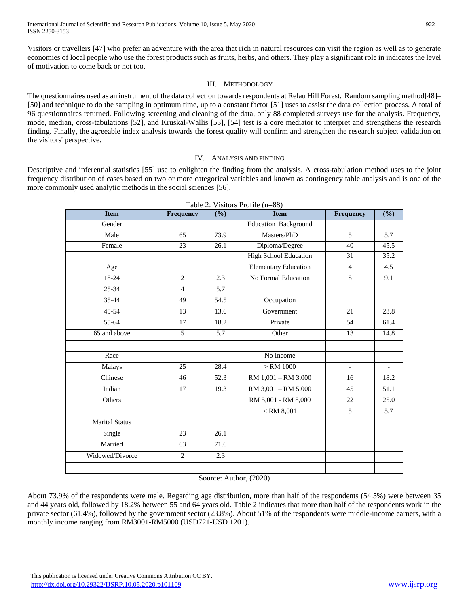Visitors or travellers [47] who prefer an adventure with the area that rich in natural resources can visit the region as well as to generate economies of local people who use the forest products such as fruits, herbs, and others. They play a significant role in indicates the level of motivation to come back or not too.

## III. METHODOLOGY

The questionnaires used as an instrument of the data collection towards respondents at Relau Hill Forest. Random sampling method[48]– [50] and technique to do the sampling in optimum time, up to a constant factor [51] uses to assist the data collection process. A total of 96 questionnaires returned. Following screening and cleaning of the data, only 88 completed surveys use for the analysis. Frequency, mode, median, cross-tabulations [52], and Kruskal-Wallis [53], [54] test is a core mediator to interpret and strengthens the research finding. Finally, the agreeable index analysis towards the forest quality will confirm and strengthen the research subject validation on the visitors' perspective.

#### IV. ANALYSIS AND FINDING

Descriptive and inferential statistics [55] use to enlighten the finding from the analysis. A cross-tabulation method uses to the joint frequency distribution of cases based on two or more categorical variables and known as contingency table analysis and is one of the more commonly used analytic methods in the social sciences [56].

| <b>Item</b>           | Frequency       | (%)  | $\frac{1}{2}$<br><b>Item</b> | Frequency                | (%)               |
|-----------------------|-----------------|------|------------------------------|--------------------------|-------------------|
| Gender                |                 |      | Education Background         |                          |                   |
| Male                  | 65              | 73.9 | Masters/PhD                  | $\overline{5}$           | 5.7               |
| Female                | $\overline{23}$ | 26.1 | Diploma/Degree               | 40                       | 45.5              |
|                       |                 |      | <b>High School Education</b> | 31                       | 35.2              |
| Age                   |                 |      | <b>Elementary Education</b>  | $\overline{4}$           | 4.5               |
| 18-24                 | $\overline{2}$  | 2.3  | <b>No Formal Education</b>   | 8                        | 9.1               |
| $25 - 34$             | $\overline{4}$  | 5.7  |                              |                          |                   |
| 35-44                 | 49              | 54.5 | Occupation                   |                          |                   |
| 45-54                 | 13              | 13.6 | Government                   | 21                       | 23.8              |
| 55-64                 | 17              | 18.2 | Private                      | 54                       | 61.4              |
| 65 and above          | 5               | 5.7  | Other                        | 13                       | 14.8              |
|                       |                 |      |                              |                          |                   |
| Race                  |                 |      | No Income                    |                          |                   |
| Malays                | 25              | 28.4 | $>$ RM $1000$                | $\overline{\phantom{0}}$ |                   |
| Chinese               | 46              | 52.3 | RM 1,001 - RM 3,000          | 16                       | 18.2              |
| Indian                | $\overline{17}$ | 19.3 | $RM$ 3,001 – RM 5,000        | 45                       | $\overline{51.1}$ |
| Others                |                 |      | RM 5,001 - RM 8,000          | 22                       | 25.0              |
|                       |                 |      | $<$ RM 8,001                 | 5                        | 5.7               |
| <b>Marital Status</b> |                 |      |                              |                          |                   |
| Single                | 23              | 26.1 |                              |                          |                   |
| Married               | 63              | 71.6 |                              |                          |                   |
| Widowed/Divorce       | $\overline{2}$  | 2.3  |                              |                          |                   |
|                       |                 |      |                              |                          |                   |

Table 2: Visitors Profile (n=88)

Source: Author, (2020)

About 73.9% of the respondents were male. Regarding age distribution, more than half of the respondents (54.5%) were between 35 and 44 years old, followed by 18.2% between 55 and 64 years old. Table 2 indicates that more than half of the respondents work in the private sector (61.4%), followed by the government sector (23.8%). About 51% of the respondents were middle-income earners, with a monthly income ranging from RM3001-RM5000 (USD721-USD 1201).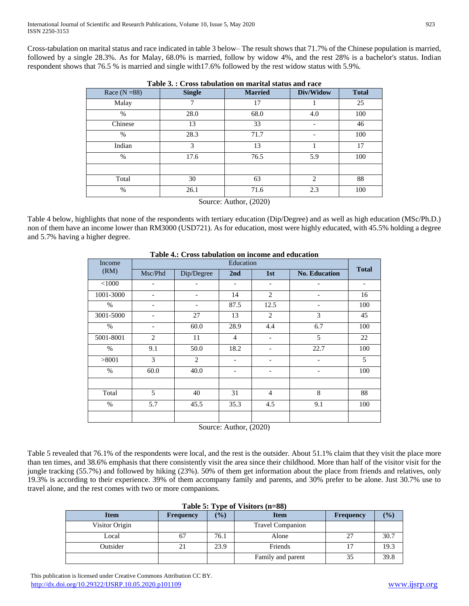Cross-tabulation on marital status and race indicated in table 3 below– The result shows that 71.7% of the Chinese population is married, followed by a single 28.3%. As for Malay, 68.0% is married, follow by widow 4%, and the rest 28% is a bachelor's status. Indian respondent shows that 76.5 % is married and single with17.6% followed by the rest widow status with 5.9%.

| Race $(N = 88)$ | <b>Single</b> | <b>Married</b> | Div/Widow                   | <b>Total</b> |
|-----------------|---------------|----------------|-----------------------------|--------------|
| Malay           |               | 17             |                             | 25           |
| $\frac{0}{0}$   | 28.0          | 68.0           | 4.0                         | 100          |
| Chinese         | 13            | 33             |                             | 46           |
| $\frac{0}{0}$   | 28.3          | 71.7           |                             | 100          |
| Indian          | $\mathcal{R}$ | 13             |                             | 17           |
| $\frac{0}{0}$   | 17.6          | 76.5           | 5.9                         | 100          |
|                 |               |                |                             |              |
| Total           | 30            | 63             | $\mathcal{D}_{\mathcal{L}}$ | 88           |
| $\frac{0}{0}$   | 26.1          | 71.6           | 2.3                         | 100          |

| Table 3.: Cross tabulation on marital status and race |
|-------------------------------------------------------|
|-------------------------------------------------------|

Source: Author, (2020)

Table 4 below, highlights that none of the respondents with tertiary education (Dip/Degree) and as well as high education (MSc/Ph.D.) non of them have an income lower than RM3000 (USD721). As for education, most were highly educated, with 45.5% holding a degree and 5.7% having a higher degree.

| Income    | Education                |            |                |                          |                              |                          |  |  |
|-----------|--------------------------|------------|----------------|--------------------------|------------------------------|--------------------------|--|--|
| (RM)      | Msc/Phd                  | Dip/Degree | 2nd            | 1st                      | <b>No. Education</b>         | <b>Total</b>             |  |  |
| < 1000    |                          |            |                | $\overline{\phantom{a}}$ |                              | $\overline{\phantom{a}}$ |  |  |
| 1001-3000 |                          |            | 14             | 2                        |                              | 16                       |  |  |
| $\%$      |                          |            | 87.5           | 12.5                     | $\qquad \qquad \blacksquare$ | 100                      |  |  |
| 3001-5000 | $\overline{\phantom{a}}$ | 27         | 13             | 2                        | 3                            | 45                       |  |  |
| $\%$      | $\overline{\phantom{a}}$ | 60.0       | 28.9           | 4.4                      | 6.7                          | 100                      |  |  |
| 5001-8001 | 2                        | 11         | $\overline{4}$ | $\overline{\phantom{a}}$ | 5                            | 22                       |  |  |
| $\%$      | 9.1                      | 50.0       | 18.2           | $\overline{\phantom{a}}$ | 22.7                         | 100                      |  |  |
| >8001     | 3                        | 2          | -              | $\overline{\phantom{a}}$ | $\qquad \qquad \blacksquare$ | 5                        |  |  |
| $\%$      | 60.0                     | 40.0       | -              | $\overline{\phantom{a}}$ | $\overline{\phantom{0}}$     | 100                      |  |  |
|           |                          |            |                |                          |                              |                          |  |  |
| Total     | 5                        | 40         | 31             | $\overline{4}$           | 8                            | 88                       |  |  |
| $\%$      | 5.7                      | 45.5       | 35.3           | 4.5                      | 9.1                          | 100                      |  |  |
|           |                          |            |                |                          |                              |                          |  |  |

## **Table 4.: Cross tabulation on income and education**

Source: Author, (2020)

Table 5 revealed that 76.1% of the respondents were local, and the rest is the outsider. About 51.1% claim that they visit the place more than ten times, and 38.6% emphasis that there consistently visit the area since their childhood. More than half of the visitor visit for the jungle tracking (55.7%) and followed by hiking (23%). 50% of them get information about the place from friends and relatives, only 19.3% is according to their experience. 39% of them accompany family and parents, and 30% prefer to be alone. Just 30.7% use to travel alone, and the rest comes with two or more companions.

| <b>Item</b>    | <b>Frequency</b> | $(\%)$ | <b>Item</b>             | <b>Frequency</b> | $\frac{1}{2}$ |
|----------------|------------------|--------|-------------------------|------------------|---------------|
| Visitor Origin |                  |        | <b>Travel Companion</b> |                  |               |
| Local          |                  | 76.1   | Alone                   | 27               | 30.7          |
| Outsider       |                  | 23.9   | Friends                 |                  | 19.3          |
|                |                  |        | Family and parent       | 35               | 39.8          |

**Table 5: Type of Visitors (n=88)**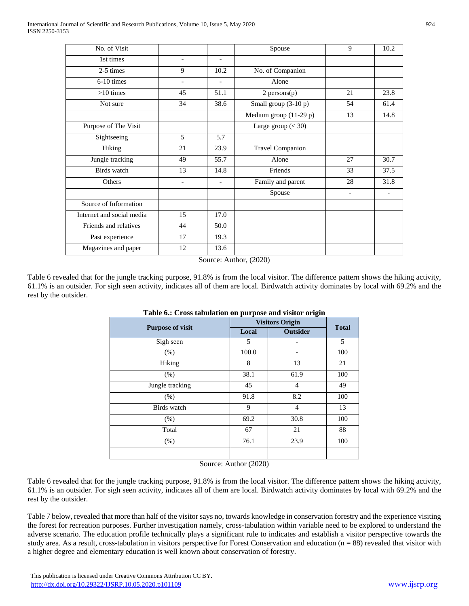| No. of Visit              |                          |                          | Spouse                   | 9  | 10.2 |
|---------------------------|--------------------------|--------------------------|--------------------------|----|------|
| 1st times                 | $\overline{\phantom{a}}$ | $\overline{\phantom{a}}$ |                          |    |      |
| 2-5 times                 | 9                        | 10.2                     | No. of Companion         |    |      |
| $6-10$ times              | $\overline{\phantom{a}}$ |                          | Alone                    |    |      |
| $>10$ times               | 45                       | 51.1                     | $2$ persons $(p)$        | 21 | 23.8 |
| Not sure                  | 34                       | 38.6                     | Small group (3-10 p)     | 54 | 61.4 |
|                           |                          |                          | Medium group $(11-29 p)$ | 13 | 14.8 |
| Purpose of The Visit      |                          |                          | Large group $(30)$       |    |      |
| Sightseeing               | 5                        | 5.7                      |                          |    |      |
| Hiking                    | 21                       | 23.9                     | <b>Travel Companion</b>  |    |      |
| Jungle tracking           | 49                       | 55.7                     | Alone                    | 27 | 30.7 |
| Birds watch               | 13                       | 14.8                     | Friends                  | 33 | 37.5 |
| Others                    |                          |                          | Family and parent        | 28 | 31.8 |
|                           |                          |                          | Spouse                   |    |      |
| Source of Information     |                          |                          |                          |    |      |
| Internet and social media | 15                       | 17.0                     |                          |    |      |
| Friends and relatives     | 44                       | 50.0                     |                          |    |      |
| Past experience           | 17                       | 19.3                     |                          |    |      |
| Magazines and paper       | 12                       | 13.6                     |                          |    |      |

Source: Author, (2020)

Table 6 revealed that for the jungle tracking purpose, 91.8% is from the local visitor. The difference pattern shows the hiking activity, 61.1% is an outsider. For sigh seen activity, indicates all of them are local. Birdwatch activity dominates by local with 69.2% and the rest by the outsider.

|                         |       | <b>Visitors Origin</b> |              |  |  |  |
|-------------------------|-------|------------------------|--------------|--|--|--|
| <b>Purpose of visit</b> | Local | <b>Outsider</b>        | <b>Total</b> |  |  |  |
| Sigh seen               | 5     |                        | 5            |  |  |  |
| (% )                    | 100.0 |                        | 100          |  |  |  |
| Hiking                  | 8     | 13                     | 21           |  |  |  |
| (% )                    | 38.1  | 61.9                   | 100          |  |  |  |
| Jungle tracking         | 45    | $\overline{4}$         | 49           |  |  |  |
| (% )                    | 91.8  | 8.2                    | 100          |  |  |  |
| Birds watch             | 9     | $\overline{4}$         | 13           |  |  |  |
| (% )                    | 69.2  | 30.8                   | 100          |  |  |  |
| Total                   | 67    | 21                     | 88           |  |  |  |
| (% )                    | 76.1  | 23.9                   | 100          |  |  |  |
|                         |       |                        |              |  |  |  |

|  | Table 6.: Cross tabulation on purpose and visitor origin |  |  |  |
|--|----------------------------------------------------------|--|--|--|

Source: Author (2020)

Table 6 revealed that for the jungle tracking purpose, 91.8% is from the local visitor. The difference pattern shows the hiking activity, 61.1% is an outsider. For sigh seen activity, indicates all of them are local. Birdwatch activity dominates by local with 69.2% and the rest by the outsider.

Table 7 below, revealed that more than half of the visitor says no, towards knowledge in conservation forestry and the experience visiting the forest for recreation purposes. Further investigation namely, cross-tabulation within variable need to be explored to understand the adverse scenario. The education profile technically plays a significant rule to indicates and establish a visitor perspective towards the study area. As a result, cross-tabulation in visitors perspective for Forest Conservation and education  $(n = 88)$  revealed that visitor with a higher degree and elementary education is well known about conservation of forestry.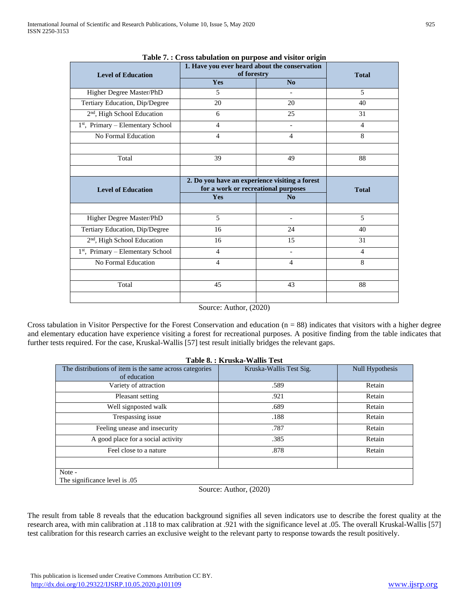| <b>Level of Education</b>               | - r - r - - - -<br>1. Have you ever heard about the conservation<br>of forestry       |                          | <b>Total</b>   |
|-----------------------------------------|---------------------------------------------------------------------------------------|--------------------------|----------------|
|                                         | Yes                                                                                   | No                       |                |
| Higher Degree Master/PhD                | $\overline{5}$                                                                        |                          | 5              |
| Tertiary Education, Dip/Degree          | 20                                                                                    | 20                       | 40             |
| 2 <sup>nd</sup> , High School Education | 6                                                                                     | 25                       | 31             |
| 1st, Primary – Elementary School        | $\overline{\mathcal{L}}$                                                              |                          | $\overline{4}$ |
| No Formal Education                     | $\overline{4}$                                                                        | $\overline{4}$           | 8              |
|                                         |                                                                                       |                          |                |
| Total                                   | 39                                                                                    | 49                       | 88             |
|                                         |                                                                                       |                          |                |
| <b>Level of Education</b>               | 2. Do you have an experience visiting a forest<br>for a work or recreational purposes | <b>Total</b>             |                |
|                                         | Yes                                                                                   | No                       |                |
|                                         |                                                                                       |                          |                |
| Higher Degree Master/PhD                | 5                                                                                     |                          | 5              |
| Tertiary Education, Dip/Degree          | 16                                                                                    | 24                       | 40             |
| 2 <sup>nd</sup> , High School Education | 16                                                                                    | 15                       | 31             |
| 1st, Primary – Elementary School        | $\overline{4}$                                                                        | $\overline{\phantom{0}}$ | $\overline{4}$ |
| No Formal Education                     | $\overline{4}$                                                                        | $\overline{4}$           | 8              |
|                                         |                                                                                       |                          |                |
| Total                                   | 45                                                                                    | 43                       | 88             |
|                                         |                                                                                       |                          |                |

#### **Table 7. : Cross tabulation on purpose and visitor origin**

Source: Author, (2020)

Cross tabulation in Visitor Perspective for the Forest Conservation and education  $(n = 88)$  indicates that visitors with a higher degree and elementary education have experience visiting a forest for recreational purposes. A positive finding from the table indicates that further tests required. For the case, Kruskal-Wallis [57] test result initially bridges the relevant gaps.

|                                                         | Table 8.: Kruska-Wallis Test |                        |
|---------------------------------------------------------|------------------------------|------------------------|
| The distributions of item is the same across categories | Kruska-Wallis Test Sig.      | <b>Null Hypothesis</b> |
| of education                                            |                              |                        |
| Variety of attraction                                   | .589                         | Retain                 |
| Pleasant setting                                        | .921                         | Retain                 |
| Well signposted walk                                    | .689                         | Retain                 |
| Trespassing issue                                       | .188                         | Retain                 |
| Feeling unease and insecurity                           | .787                         | Retain                 |
| A good place for a social activity                      | .385                         | Retain                 |
| Feel close to a nature                                  | .878                         | Retain                 |
| Note -                                                  |                              |                        |
| The significance level is .05                           |                              |                        |

Source: Author, (2020)

The result from table 8 reveals that the education background signifies all seven indicators use to describe the forest quality at the research area, with min calibration at .118 to max calibration at .921 with the significance level at .05. The overall Kruskal-Wallis [57] test calibration for this research carries an exclusive weight to the relevant party to response towards the result positively.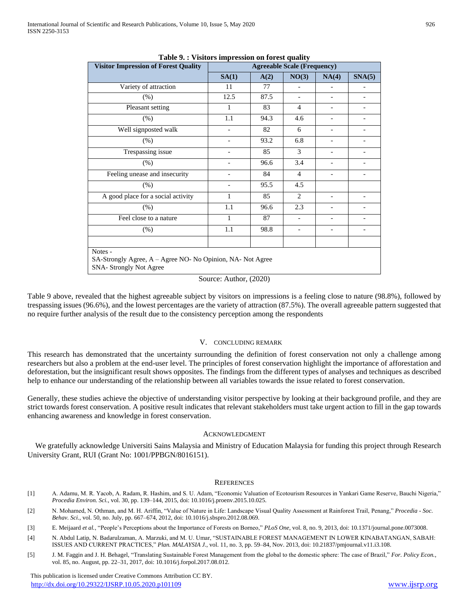| <b>Visitor Impression of Forest Quality</b>                | <b>rapic 7.</b> Things impression on forest quality<br><b>Agreeable Scale (Frequency)</b> |      |                          |                          |                          |
|------------------------------------------------------------|-------------------------------------------------------------------------------------------|------|--------------------------|--------------------------|--------------------------|
|                                                            | SA(1)                                                                                     | A(2) | NO(3)                    | NA(4)                    | SNA(5)                   |
| Variety of attraction                                      | 11                                                                                        | 77   |                          |                          |                          |
| $(\% )$                                                    | 12.5                                                                                      | 87.5 | $\overline{\phantom{0}}$ | $\overline{\phantom{a}}$ |                          |
| Pleasant setting                                           | 1                                                                                         | 83   | $\overline{4}$           | $\overline{\phantom{a}}$ | $\overline{\phantom{a}}$ |
| $(\%)$                                                     | 1.1                                                                                       | 94.3 | 4.6                      | $\overline{\phantom{a}}$ |                          |
| Well signposted walk                                       |                                                                                           | 82   | 6                        |                          |                          |
| $(\% )$                                                    |                                                                                           | 93.2 | 6.8                      |                          |                          |
| Trespassing issue                                          |                                                                                           | 85   | 3                        |                          |                          |
| (% )                                                       |                                                                                           | 96.6 | 3.4                      |                          |                          |
| Feeling unease and insecurity                              |                                                                                           | 84   | 4                        |                          |                          |
| (% )                                                       |                                                                                           | 95.5 | 4.5                      |                          |                          |
| A good place for a social activity                         | 1                                                                                         | 85   | 2                        | $\overline{\phantom{a}}$ | $\qquad \qquad -$        |
| $(\% )$                                                    | 1.1                                                                                       | 96.6 | 2.3                      | $\overline{\phantom{a}}$ | $\overline{\phantom{0}}$ |
| Feel close to a nature                                     | $\mathbf{1}$                                                                              | 87   | $\overline{\phantom{0}}$ | $\overline{\phantom{a}}$ | $\overline{\phantom{a}}$ |
| $(\%)$                                                     | 1.1                                                                                       | 98.8 | $\overline{\phantom{a}}$ | $\overline{\phantom{a}}$ | $\overline{\phantom{a}}$ |
|                                                            |                                                                                           |      |                          |                          |                          |
| Notes -                                                    |                                                                                           |      |                          |                          |                          |
| SA-Strongly Agree, A – Agree NO- No Opinion, NA- Not Agree |                                                                                           |      |                          |                          |                          |
| <b>SNA-Strongly Not Agree</b>                              |                                                                                           |      |                          |                          |                          |

**Table 9. : Visitors impression on forest quality**

Source: Author, (2020)

Table 9 above, revealed that the highest agreeable subject by visitors on impressions is a feeling close to nature (98.8%), followed by trespassing issues (96.6%), and the lowest percentages are the variety of attraction (87.5%). The overall agreeable pattern suggested that no require further analysis of the result due to the consistency perception among the respondents

#### V. CONCLUDING REMARK

This research has demonstrated that the uncertainty surrounding the definition of forest conservation not only a challenge among researchers but also a problem at the end-user level. The principles of forest conservation highlight the importance of afforestation and deforestation, but the insignificant result shows opposites. The findings from the different types of analyses and techniques as described help to enhance our understanding of the relationship between all variables towards the issue related to forest conservation.

Generally, these studies achieve the objective of understanding visitor perspective by looking at their background profile, and they are strict towards forest conservation. A positive result indicates that relevant stakeholders must take urgent action to fill in the gap towards enhancing awareness and knowledge in forest conservation.

#### ACKNOWLEDGMENT

We gratefully acknowledge Universiti Sains Malaysia and Ministry of Education Malaysia for funding this project through Research University Grant, RUI (Grant No: 1001/PPBGN/8016151).

#### **REFERENCES**

- [1] A. Adamu, M. R. Yacob, A. Radam, R. Hashim, and S. U. Adam, "Economic Valuation of Ecotourism Resources in Yankari Game Reserve, Bauchi Nigeria," *Procedia Environ. Sci.*, vol. 30, pp. 139–144, 2015, doi: 10.1016/j.proenv.2015.10.025.
- [2] N. Mohamed, N. Othman, and M. H. Ariffin, "Value of Nature in Life: Landscape Visual Quality Assessment at Rainforest Trail, Penang," *Procedia - Soc. Behav. Sci.*, vol. 50, no. July, pp. 667–674, 2012, doi: 10.1016/j.sbspro.2012.08.069.
- [3] E. Meijaard *et al.*, "People's Perceptions about the Importance of Forests on Borneo," *PLoS One*, vol. 8, no. 9, 2013, doi: 10.1371/journal.pone.0073008.
- [4] N. Abdul Latip, N. Badarulzaman, A. Marzuki, and M. U. Umar, "SUSTAINABLE FOREST MANAGEMENT IN LOWER KINABATANGAN, SABAH: ISSUES AND CURRENT PRACTICES," *Plan. MALAYSIA J.*, vol. 11, no. 3, pp. 59–84, Nov. 2013, doi: 10.21837/pmjournal.v11.i3.108.
- [5] J. M. Faggin and J. H. Behagel, "Translating Sustainable Forest Management from the global to the domestic sphere: The case of Brazil," *For. Policy Econ.*, vol. 85, no. August, pp. 22–31, 2017, doi: 10.1016/j.forpol.2017.08.012.

 This publication is licensed under Creative Commons Attribution CC BY. <http://dx.doi.org/10.29322/IJSRP.10.05.2020.p101109> [www.ijsrp.org](http://ijsrp.org/)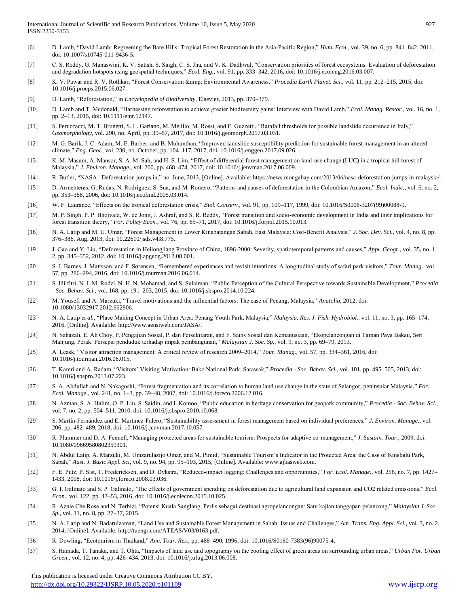- [6] D. Lamb, "David Lamb: Regreening the Bare Hills: Tropical Forest Restoration in the Asia-Pacific Region," *Hum. Ecol.*, vol. 39, no. 6, pp. 841–842, 2011, doi: 10.1007/s10745-011-9436-5.
- [7] C. S. Reddy, G. Manaswini, K. V. Satish, S. Singh, C. S. Jha, and V. K. Dadhwal, "Conservation priorities of forest ecosystems: Evaluation of deforestation and degradation hotspots using geospatial techniques," *Ecol. Eng.*, vol. 91, pp. 333–342, 2016, doi: 10.1016/j.ecoleng.2016.03.007.
- [8] K. V. Pawar and R. V. Rothkar, "Forest Conservation & Environmental Awareness," *Procedia Earth Planet. Sci.*, vol. 11, pp. 212–215, 2015, doi: 10.1016/j.proeps.2015.06.027.
- [9] D. Lamb, "Reforestation," in *Encyclopedia of Biodiversity*, Elsevier, 2013, pp. 370–379.
- [10] D. Lamb and T. Mcdonald, "Harnessing reforestation to achieve greater biodiversity gains: Interview with David Lamb," *Ecol. Manag. Restor.*, vol. 16, no. 1, pp. 2–13, 2015, doi: 10.1111/emr.12147.
- [11] S. Peruccacci, M. T. Brunetti, S. L. Gariano, M. Melillo, M. Rossi, and F. Guzzetti, "Rainfall thresholds for possible landslide occurrence in Italy," *Geomorphology*, vol. 290, no. April, pp. 39–57, 2017, doi: 10.1016/j.geomorph.2017.03.031.
- [12] M. G. Barik, J. C. Adam, M. E. Barber, and B. Muhunthan, "Improved landslide susceptibility prediction for sustainable forest management in an altered climate," *Eng. Geol.*, vol. 230, no. October, pp. 104–117, 2017, doi: 10.1016/j.enggeo.2017.09.026.
- [13] K. M. Masum, A. Mansor, S. A. M. Sah, and H. S. Lim, "Effect of differential forest management on land-use change (LUC) in a tropical hill forest of Malaysia," *J. Environ. Manage.*, vol. 200, pp. 468–474, 2017, doi: 10.1016/j.jenvman.2017.06.009.
- [14] R. Butler, "NASA : Deforestation jumps in," no. June, 2013, [Online]. Available: https://news.mongabay.com/2013/06/nasa-deforestation-jumps-in-malaysia/.
- [15] D. Armenteras, G. Rudas, N. Rodriguez, S. Sua, and M. Romero, "Patterns and causes of deforestation in the Colombian Amazon," *Ecol. Indic.*, vol. 6, no. 2, pp. 353–368, 2006, doi: 10.1016/j.ecolind.2005.03.014.
- [16] W. F. Laurance, "Effects on the tropical deforestation crisis," *Biol. Conserv.*, vol. 91, pp. 109–117, 1999, doi: 10.1016/S0006-3207(99)00088-9.
- [17] M. P. Singh, P. P. Bhojvaid, W. de Jong, J. Ashraf, and S. R. Reddy, "Forest transition and socio-economic development in India and their implications for forest transition theory," *For. Policy Econ.*, vol. 76, pp. 65–71, 2017, doi: 10.1016/j.forpol.2015.10.013.
- [18] N. A. Latip and M. U. Umar, "Forest Management in Lower Kinabatangan Sabah, East Malaysia: Cost-Benefit Analysis," *J. Soc. Dev. Sci.*, vol. 4, no. 8, pp. 376–386, Aug. 2013, doi: 10.22610/jsds.v4i8.775.
- [19] J. Gao and Y. Liu, "Deforestation in Heilongjiang Province of China, 1896-2000: Severity, spatiotemporal patterns and causes," *Appl. Geogr.*, vol. 35, no. 1– 2, pp. 345–352, 2012, doi: 10.1016/j.apgeog.2012.08.001.
- [20] S. J. Barnes, J. Mattsson, and F. Sørensen, "Remembered experiences and revisit intentions: A longitudinal study of safari park visitors," *Tour. Manag.*, vol. 57, pp. 286–294, 2016, doi: 10.1016/j.tourman.2016.06.014.
- [21] S. Idilfitri, N. I. M. Rodzi, N. H. N. Mohamad, and S. Sulaiman, "Public Perception of the Cultural Perspective towards Sustainable Development," *Procedia - Soc. Behav. Sci.*, vol. 168, pp. 191–203, 2015, doi: 10.1016/j.sbspro.2014.10.224.
- [22] M. Yousefi and A. Marzuki, "Travel motivations and the influential factors: The case of Penang, Malaysia," *Anatolia*, 2012, doi: 10.1080/13032917.2012.662906.
- [23] N. A. Latip *et al.*, "Place Making Concept in Urban Area: Penang Youth Park, Malaysia," *Malaysia. Res. J. Fish. Hydrobiol.*, vol. 11, no. 3, pp. 165–174, 2016, [Online]. Available: http://www.aensiweb.com/JASA/.
- [24] N. Sahazali, E. Ah Choy, P. Pengajian Sosial, P. dan Persekitaran, and F. Sains Sosial dan Kemanusiaan, "Ekopelancongan di Taman Paya Bakau, Seri Manjung, Perak: Persepsi penduduk terhadap impak pembangunan," *Malaysian J. Soc. Sp.*, vol. 9, no. 3, pp. 69–79, 2013.
- [25] A. Leask, "Visitor attraction management: A critical review of research 2009–2014," *Tour. Manag.*, vol. 57, pp. 334–361, 2016, doi: 10.1016/j.tourman.2016.06.015.
- [26] T. Kamri and A. Radam, "Visitors' Visiting Motivation: Bako National Park, Sarawak," *Procedia - Soc. Behav. Sci.*, vol. 101, pp. 495–505, 2013, doi: 10.1016/j.sbspro.2013.07.223.
- [27] S. A. Abdullah and N. Nakagoshi, "Forest fragmentation and its correlation to human land use change in the state of Selangor, peninsular Malaysia," *For. Ecol. Manage.*, vol. 241, no. 1–3, pp. 39–48, 2007, doi: 10.1016/j.foreco.2006.12.016.
- [28] N. Azman, S. A. Halim, O. P. Liu, S. Saidin, and I. Komoo, "Public education in heritage conservation for geopark community," *Procedia - Soc. Behav. Sci.*, vol. 7, no. 2, pp. 504–511, 2010, doi: 10.1016/j.sbspro.2010.10.068.
- [29] S. Martín-Fernández and E. Martinez-Falero, "Sustainability assessment in forest management based on individual preferences," *J. Environ. Manage.*, vol. 206, pp. 482–489, 2018, doi: 10.1016/j.jenvman.2017.10.057.
- [30] R. Plummer and D. A. Fennell, "Managing protected areas for sustainable tourism: Prospects for adaptive co-management," *J. Sustain. Tour.*, 2009, doi: 10.1080/09669580802359301.
- [31] N. Abdul Latip, A. Marzuki, M. Umzarulazijo Omar, and M. Pimid, "Sustainable Tourism's Indicator in the Protected Area: the Case of Kinabalu Park, Sabah," *Aust. J. Basic Appl. Sci*, vol. 9, no. 94, pp. 95–103, 2015, [Online]. Available: www.ajbasweb.com.
- [32] F. E. Putz, P. Sist, T. Fredericksen, and D. Dykstra, "Reduced-impact logging: Challenges and opportunities," *For. Ecol. Manage.*, vol. 256, no. 7, pp. 1427– 1433, 2008, doi: 10.1016/j.foreco.2008.03.036.
- [33] G. I. Galinato and S. P. Galinato, "The effects of government spending on deforestation due to agricultural land expansion and CO2 related emissions," *Ecol. Econ.*, vol. 122, pp. 43–53, 2016, doi: 10.1016/j.ecolecon.2015.10.025.
- [34] R. Aznie Che Rose and N. Terbizi, "Potensi Kuala Sanglang, Perlis sebagai destinasi agropelancongan: Satu kajian tanggapan pelancong," *Malaysian J. Soc. Sp.*, vol. 11, no. 8, pp. 27–37, 2015.
- [35] N. A. Latip and N. Badarulzaman, "Land Use and Sustainable Forest Management in Sabah: Issues and Challenges," *Am. Trans. Eng. Appl. Sci.*, vol. 3, no. 2, 2014, [Online]. Available: http://tuengr.com/ATEAS/V03/0163.pdf.
- [36] R. Dowling, "Ecotourism in Thailand," *Ann. Tour. Res.*, pp. 488–490, 1996, doi: 10.1016/S0160-7383(96)90075-4.
- [37] S. Hamada, T. Tanaka, and T. Ohta, "Impacts of land use and topography on the cooling effect of green areas on surrounding urban areas," *Urban For. Urban Green.*, vol. 12, no. 4, pp. 426–434, 2013, doi: 10.1016/j.ufug.2013.06.008.

 This publication is licensed under Creative Commons Attribution CC BY. <http://dx.doi.org/10.29322/IJSRP.10.05.2020.p101109> [www.ijsrp.org](http://ijsrp.org/)